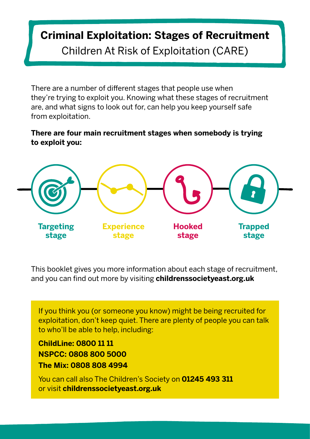# **Criminal Exploitation: Stages of Recruitment** Children At Risk of Exploitation (CARE)

There are a number of different stages that people use when they're trying to exploit you. Knowing what these stages of recruitment are, and what signs to look out for, can help you keep yourself safe from exploitation.

#### **There are four main recruitment stages when somebody is trying to exploit you:**



This booklet gives you more information about each stage of recruitment, and you can find out more by visiting **[childrenssocietyeast.org.uk](http://www.childrenssocietyeast.org.uk)**

If you think you (or someone you know) might be being recruited for exploitation, don't keep quiet. There are plenty of people you can talk to who'll be able to help, including:

**ChildLine: 0800 11 11 NSPCC: 0808 800 5000 The Mix: 0808 808 4994** 

You can call also The Children's Society on **01245 493 311** or visit **[childrenssocietyeast.org.uk](http://www.childrenssocietyeast.org.uk)**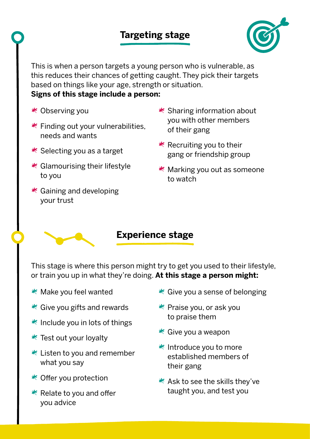## **Targeting stage**



This is when a person targets a young person who is vulnerable, as this reduces their chances of getting caught. They pick their targets based on things like your age, strength or situation. **Signs of this stage include a person:** 

- Observing you
- $*$  Finding out your vulnerabilities, needs and wants
- $*$  Selecting you as a target
- $*$  Glamourising their lifestyle to you
- $*$  Gaining and developing your trust
- $*$  Sharing information about you with other members of their gang
- $*$  Recruiting you to their gang or friendship group
- Marking you out as someone to watch

#### **Experience stage**

This stage is where this person might try to get you used to their lifestyle, or train you up in what they're doing. **At this stage a person might:**

- Make you feel wanted
- $*$  Give you gifts and rewards
- $*$  Include you in lots of things
- $*$  Test out your loyalty
- $*$  Listen to you and remember what you say
- $*$  Offer you protection
- $*$  Relate to you and offer you advice
- $*$  Give you a sense of belonging
- $*$  Praise you, or ask you to praise them
- $*$  Give you a weapon
- $*$  Introduce you to more established members of their gang
- \* Ask to see the skills they've taught you, and test you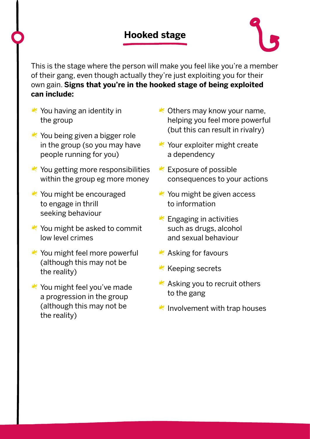## **Hooked stage**



This is the stage where the person will make you feel like you're a member of their gang, even though actually they're just exploiting you for their own gain. **Signs that you're in the hooked stage of being exploited can include:**

- $*$  You having an identity in the group
- $*$  You being given a bigger role in the group (so you may have people running for you)
- $*$  You getting more responsibilities within the group eg more money
- $*$  You might be encouraged to engage in thrill seeking behaviour
- $*$  You might be asked to commit low level crimes
- $*$  You might feel more powerful (although this may not be the reality)
- $*$  You might feel you've made a progression in the group (although this may not be the reality)
- $*$  Others may know your name, helping you feel more powerful (but this can result in rivalry)
- $*$  Your exploiter might create a dependency
- $*$  Exposure of possible consequences to your actions
- $*$  You might be given access to information
- $*$  Engaging in activities such as drugs, alcohol and sexual behaviour
- $*$  Asking for favours
- $*$  Keeping secrets
- $*$  Asking you to recruit others to the gang
- $*$  Involvement with trap houses